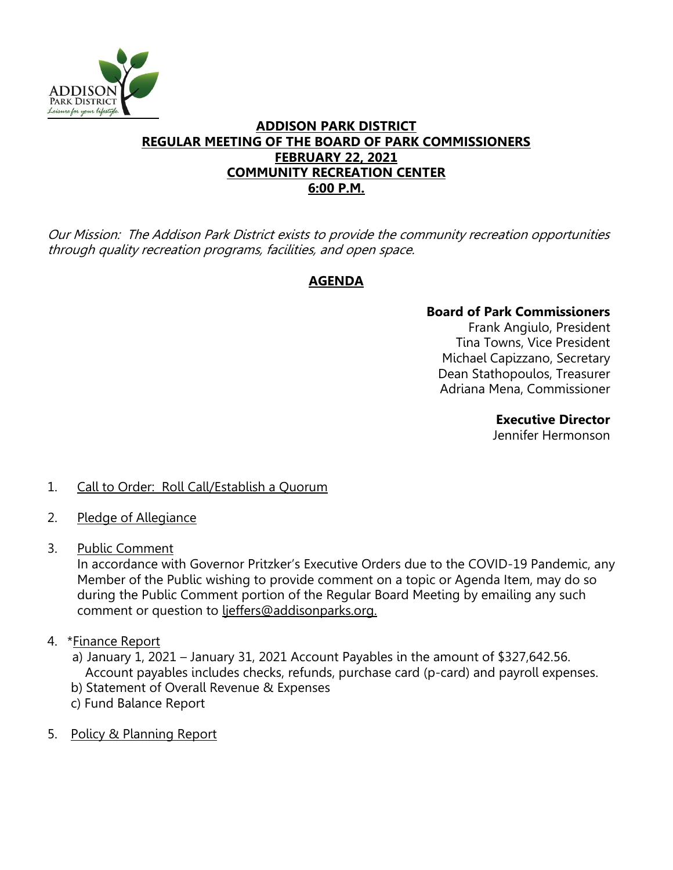

## **ADDISON PARK DISTRICT REGULAR MEETING OF THE BOARD OF PARK COMMISSIONERS FEBRUARY 22, 2021 COMMUNITY RECREATION CENTER 6:00 P.M.**

Our Mission: The Addison Park District exists to provide the community recreation opportunities through quality recreation programs, facilities, and open space.

# **AGENDA**

## **Board of Park Commissioners**

Frank Angiulo, President Tina Towns, Vice President Michael Capizzano, Secretary Dean Stathopoulos, Treasurer Adriana Mena, Commissioner

### **Executive Director**

Jennifer Hermonson

## 1. Call to Order: Roll Call/Establish a Quorum

- 2. Pledge of Allegiance
- 3. Public Comment

In accordance with Governor Pritzker's Executive Orders due to the COVID-19 Pandemic, any Member of the Public wishing to provide comment on a topic or Agenda Item, may do so during the Public Comment portion of the Regular Board Meeting by emailing any such comment or question to ljeffers@addisonparks.org.

4. \*Finance Report

a) January 1, 2021 – January 31, 2021 Account Payables in the amount of \$327,642.56. Account payables includes checks, refunds, purchase card (p-card) and payroll expenses.

- b) Statement of Overall Revenue & Expenses
- c) Fund Balance Report
- 5. Policy & Planning Report